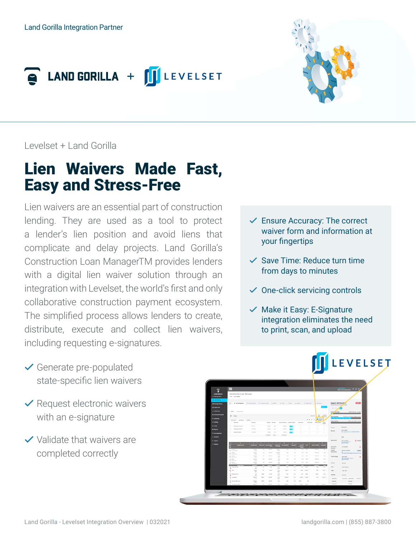



Levelset + Land Gorilla

## Lien Waivers Made Fast, Easy and Stress-Free

Lien waivers are an essential part of construction lending. They are used as a tool to protect a lender's lien position and avoid liens that complicate and delay projects. Land Gorilla's Construction Loan ManagerTM provides lenders with a digital lien waiver solution through an integration with Levelset, the world's first and only collaborative construction payment ecosystem. The simplified process allows lenders to create, distribute, execute and collect lien waivers, including requesting e-signatures.

- $\checkmark$  Ensure Accuracy: The correct waiver form and information at your fingertips
- $\checkmark$  Save Time: Reduce turn time from days to minutes
- $\checkmark$  One-click servicing controls
- $\vee$  Make it Easy: E-Signature integration eliminates the need to print, scan, and upload

- $\checkmark$  Generate pre-populated state-specific lien waivers
- $\vee$  Request electronic waivers with an e-signature
- $\vee$  Validate that waivers are completed correctly